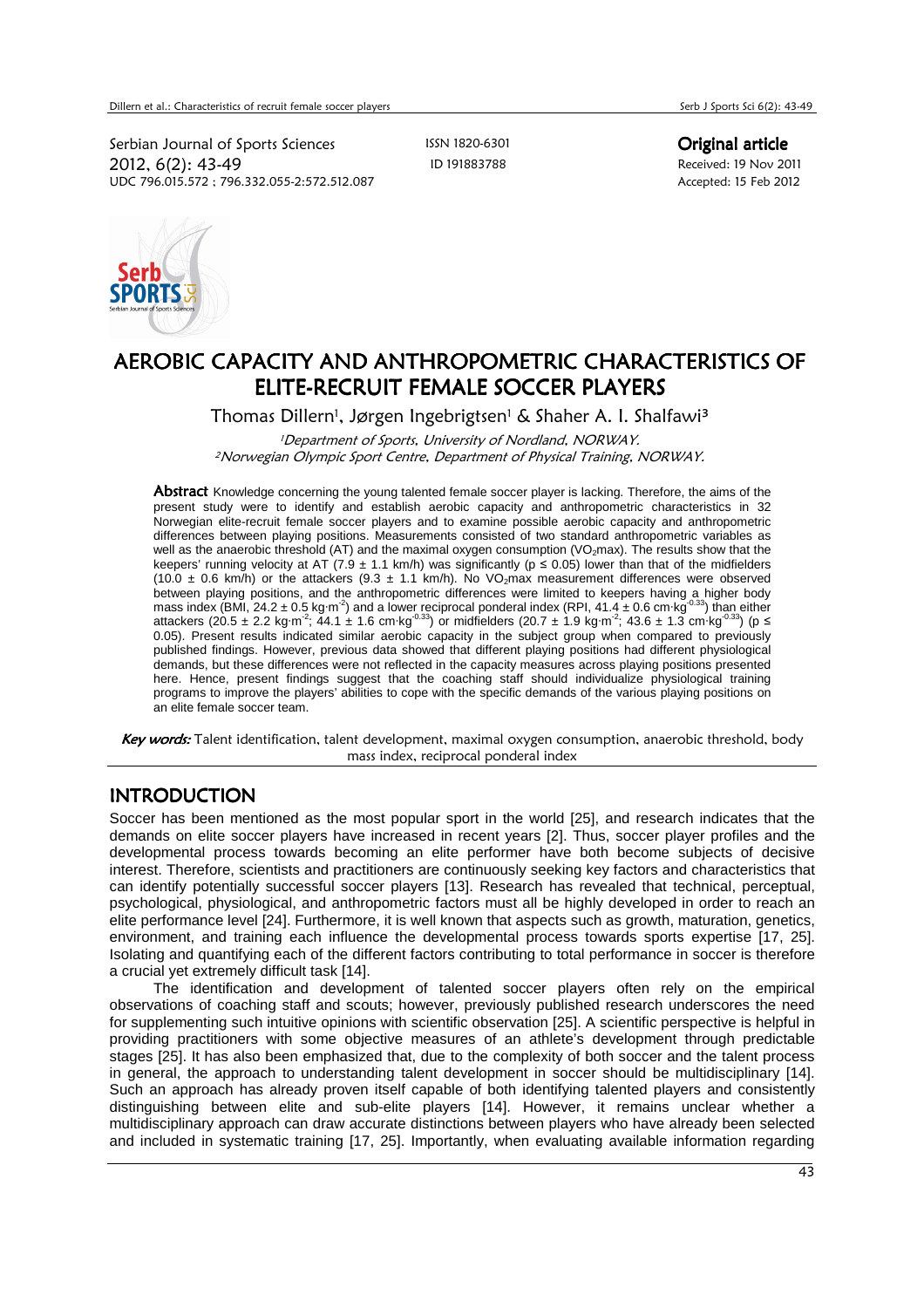Serbian Journal of Sports Sciences ISSN 1820-6301 Criginal article 2012, 6(2): 43-49 ID 191883788 Received: 19 Nov 2011 UDC 796.015.572; 796.332.055-2:572.512.087



# AEROBIC CAPACITY AND ANTHROPOMETRIC CHARACTERISTICS OF ELITE-RECRUIT FEMALE SOCCER PLAYERS

Thomas Dillern<sup>i</sup>, Jørgen Ingebrigtsen<sup>i</sup> & Shaher A. I. Shalfawi<sup>3</sup>

<sup>1</sup>Department of Sports, University of Nordland, NORWAY. <sup>2</sup>Norwegian Olympic Sport Centre, Department of Physical Training, NORWAY.

Abstract Knowledge concerning the young talented female soccer player is lacking. Therefore, the aims of the present study were to identify and establish aerobic capacity and anthropometric characteristics in 32 Norwegian elite-recruit female soccer players and to examine possible aerobic capacity and anthropometric differences between playing positions. Measurements consisted of two standard anthropometric variables as well as the anaerobic threshold (AT) and the maximal oxygen consumption (VO<sub>2</sub>max). The results show that the keepers' running velocity at AT (7.9  $\pm$  1.1 km/h) was significantly ( $p \le 0.05$ ) lower than that of the midfielders (10.0  $\pm$  0.6 km/h) or the attackers (9.3  $\pm$  1.1 km/h). No VO<sub>2</sub>max measurement differences were observed between playing positions, and the anthropometric differences were limited to keepers having a higher body mass index (BMI, 24.2  $\pm$  0.5 kg·m<sup>-2</sup>) and a lower reciprocal ponderal index (RPI, 41.4  $\pm$  0.6 cm·kg<sup>-0.33</sup>) than either attackers (20.5 ± 2.2 kg·m<sup>-2</sup>; 44.1 ± 1.6 cm·kg<sup>-0.33</sup>) or midfielders (20.7 ± 1.9 kg·m<sup>-2</sup>; 43.6 ± 1.3 cm·kg<sup>-0.33</sup>) (p ≤ 0.05). Present results indicated similar aerobic capacity in the subject group when compared to previously published findings. However, previous data showed that different playing positions had different physiological demands, but these differences were not reflected in the capacity measures across playing positions presented here. Hence, present findings suggest that the coaching staff should individualize physiological training programs to improve the players' abilities to cope with the specific demands of the various playing positions on an elite female soccer team.

Key words: Talent identification, talent development, maximal oxygen consumption, anaerobic threshold, body mass index, reciprocal ponderal index

## INTRODUCTION

Soccer has been mentioned as the most popular sport in the world [25], and research indicates that the demands on elite soccer players have increased in recent years [2]. Thus, soccer player profiles and the developmental process towards becoming an elite performer have both become subjects of decisive interest. Therefore, scientists and practitioners are continuously seeking key factors and characteristics that can identify potentially successful soccer players [13]. Research has revealed that technical, perceptual, psychological, physiological, and anthropometric factors must all be highly developed in order to reach an elite performance level [24]. Furthermore, it is well known that aspects such as growth, maturation, genetics, environment, and training each influence the developmental process towards sports expertise [17, 25]. Isolating and quantifying each of the different factors contributing to total performance in soccer is therefore a crucial yet extremely difficult task [14].

 The identification and development of talented soccer players often rely on the empirical observations of coaching staff and scouts; however, previously published research underscores the need for supplementing such intuitive opinions with scientific observation [25]. A scientific perspective is helpful in providing practitioners with some objective measures of an athlete's development through predictable stages [25]. It has also been emphasized that, due to the complexity of both soccer and the talent process in general, the approach to understanding talent development in soccer should be multidisciplinary [14]. Such an approach has already proven itself capable of both identifying talented players and consistently distinguishing between elite and sub-elite players [14]. However, it remains unclear whether a multidisciplinary approach can draw accurate distinctions between players who have already been selected and included in systematic training [17, 25]. Importantly, when evaluating available information regarding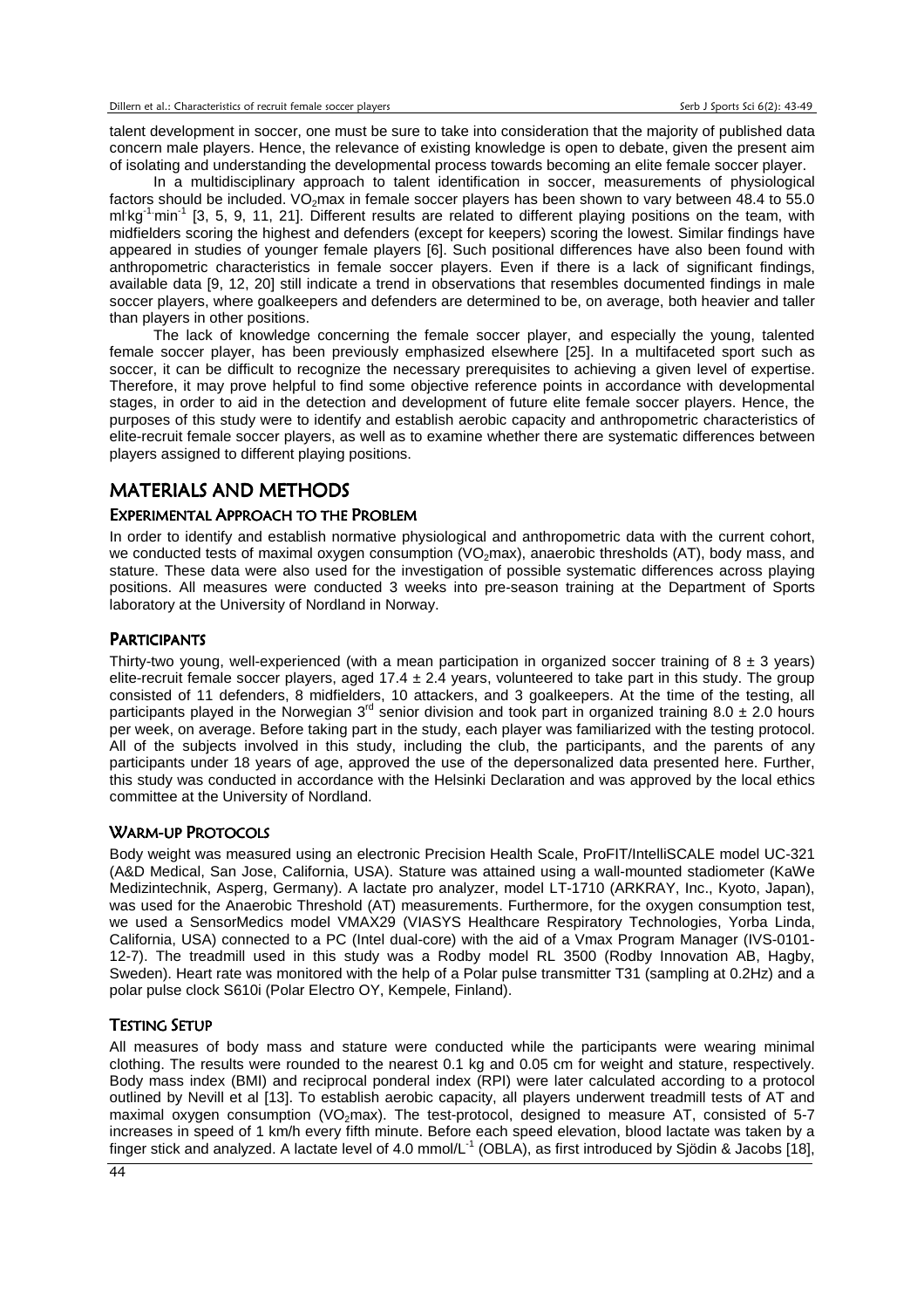talent development in soccer, one must be sure to take into consideration that the majority of published data concern male players. Hence, the relevance of existing knowledge is open to debate, given the present aim of isolating and understanding the developmental process towards becoming an elite female soccer player.

 In a multidisciplinary approach to talent identification in soccer, measurements of physiological factors should be included. VO<sub>2</sub>max in female soccer players has been shown to vary between 48.4 to 55.0 ml kg<sup>-1.</sup>min<sup>-1</sup> [3, 5, 9, 11, 21]. Different results are related to different playing positions on the team, with midfielders scoring the highest and defenders (except for keepers) scoring the lowest. Similar findings have appeared in studies of younger female players [6]. Such positional differences have also been found with anthropometric characteristics in female soccer players. Even if there is a lack of significant findings, available data [9, 12, 20] still indicate a trend in observations that resembles documented findings in male soccer players, where goalkeepers and defenders are determined to be, on average, both heavier and taller than players in other positions.

 The lack of knowledge concerning the female soccer player, and especially the young, talented female soccer player, has been previously emphasized elsewhere [25]. In a multifaceted sport such as soccer, it can be difficult to recognize the necessary prerequisites to achieving a given level of expertise. Therefore, it may prove helpful to find some objective reference points in accordance with developmental stages, in order to aid in the detection and development of future elite female soccer players. Hence, the purposes of this study were to identify and establish aerobic capacity and anthropometric characteristics of elite-recruit female soccer players, as well as to examine whether there are systematic differences between players assigned to different playing positions.

## MATERIALS AND METHODS

#### EXPERIMENTAL APPROACH TO THE PROBLEM

In order to identify and establish normative physiological and anthropometric data with the current cohort, we conducted tests of maximal oxygen consumption (VO<sub>2</sub>max), anaerobic thresholds (AT), body mass, and stature. These data were also used for the investigation of possible systematic differences across playing positions. All measures were conducted 3 weeks into pre-season training at the Department of Sports laboratory at the University of Nordland in Norway.

#### **PARTICIPANTS**

Thirty-two young, well-experienced (with a mean participation in organized soccer training of  $8 \pm 3$  years) elite-recruit female soccer players, aged  $17.4 \pm 2.4$  years, volunteered to take part in this study. The group consisted of 11 defenders, 8 midfielders, 10 attackers, and 3 goalkeepers. At the time of the testing, all participants played in the Norwegian 3<sup>rd</sup> senior division and took part in organized training 8.0  $\pm$  2.0 hours per week, on average. Before taking part in the study, each player was familiarized with the testing protocol. All of the subjects involved in this study, including the club, the participants, and the parents of any participants under 18 years of age, approved the use of the depersonalized data presented here. Further, this study was conducted in accordance with the Helsinki Declaration and was approved by the local ethics committee at the University of Nordland.

#### WARM-UP PROTOCOLS

Body weight was measured using an electronic Precision Health Scale, ProFIT/IntelliSCALE model UC-321 (A&D Medical, San Jose, California, USA). Stature was attained using a wall-mounted stadiometer (KaWe Medizintechnik, Asperg, Germany). A lactate pro analyzer, model LT-1710 (ARKRAY, Inc., Kyoto, Japan), was used for the Anaerobic Threshold (AT) measurements. Furthermore, for the oxygen consumption test, we used a SensorMedics model VMAX29 (VIASYS Healthcare Respiratory Technologies, Yorba Linda, California, USA) connected to a PC (Intel dual-core) with the aid of a Vmax Program Manager (IVS-0101- 12-7). The treadmill used in this study was a Rodby model RL 3500 (Rodby Innovation AB, Hagby, Sweden). Heart rate was monitored with the help of a Polar pulse transmitter T31 (sampling at 0.2Hz) and a polar pulse clock S610i (Polar Electro OY, Kempele, Finland).

#### TESTING SETUP

All measures of body mass and stature were conducted while the participants were wearing minimal clothing. The results were rounded to the nearest 0.1 kg and 0.05 cm for weight and stature, respectively. Body mass index (BMI) and reciprocal ponderal index (RPI) were later calculated according to a protocol outlined by Nevill et al [13]. To establish aerobic capacity, all players underwent treadmill tests of AT and maximal oxygen consumption (VO<sub>2</sub>max). The test-protocol, designed to measure AT, consisted of 5-7 increases in speed of 1 km/h every fifth minute. Before each speed elevation, blood lactate was taken by a finger stick and analyzed. A lactate level of 4.0 mmol/L-1 (OBLA), as first introduced by Sjödin & Jacobs [18],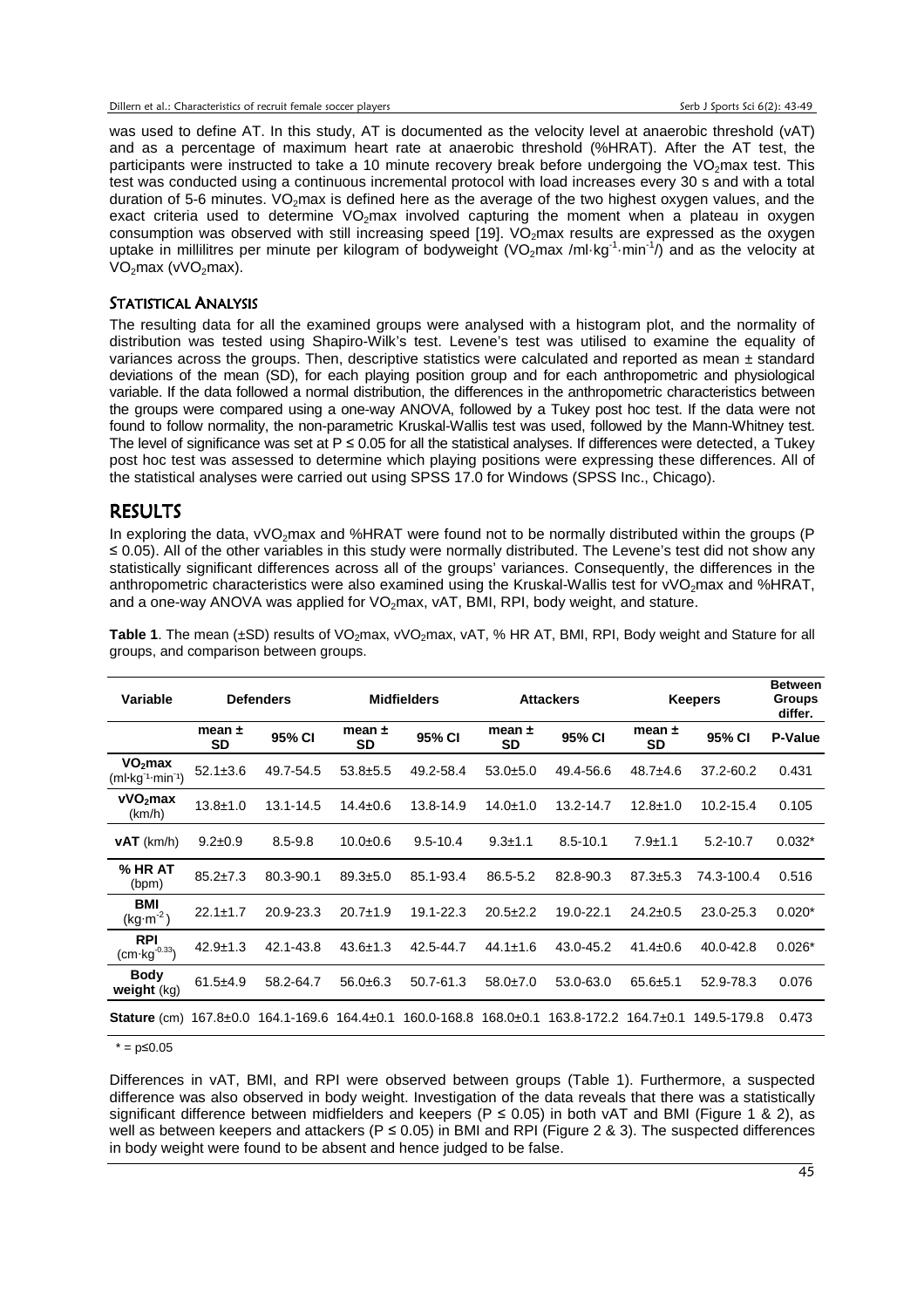was used to define AT. In this study, AT is documented as the velocity level at anaerobic threshold (vAT) and as a percentage of maximum heart rate at anaerobic threshold (%HRAT). After the AT test, the participants were instructed to take a 10 minute recovery break before undergoing the VO<sub>2</sub>max test. This test was conducted using a continuous incremental protocol with load increases every 30 s and with a total duration of 5-6 minutes.  $VO<sub>2</sub>$  max is defined here as the average of the two highest oxygen values, and the exact criteria used to determine  $VO<sub>2</sub>$ max involved capturing the moment when a plateau in oxygen consumption was observed with still increasing speed [19].  $VO<sub>2</sub>$ max results are expressed as the oxygen uptake in millilitres per minute per kilogram of bodyweight (VO<sub>2</sub>max /ml·kg<sup>-1</sup>·min<sup>-1</sup>/) and as the velocity at  $VO<sub>2</sub>max (vVO<sub>2</sub>max).$ 

#### STATISTICAL ANALYSIS

The resulting data for all the examined groups were analysed with a histogram plot, and the normality of distribution was tested using Shapiro-Wilk's test. Levene's test was utilised to examine the equality of variances across the groups. Then, descriptive statistics were calculated and reported as mean ± standard deviations of the mean (SD), for each playing position group and for each anthropometric and physiological variable. If the data followed a normal distribution, the differences in the anthropometric characteristics between the groups were compared using a one-way ANOVA, followed by a Tukey post hoc test. If the data were not found to follow normality, the non-parametric Kruskal-Wallis test was used, followed by the Mann-Whitney test. The level of significance was set at  $P \le 0.05$  for all the statistical analyses. If differences were detected, a Tukey post hoc test was assessed to determine which playing positions were expressing these differences. All of the statistical analyses were carried out using SPSS 17.0 for Windows (SPSS Inc., Chicago).

### RESULTS

In exploring the data, vVO<sub>2</sub>max and %HRAT were found not to be normally distributed within the groups (P ≤ 0.05). All of the other variables in this study were normally distributed. The Levene's test did not show any statistically significant differences across all of the groups' variances. Consequently, the differences in the anthropometric characteristics were also examined using the Kruskal-Wallis test for vVO<sub>2</sub>max and %HRAT, and a one-way ANOVA was applied for  $VO_2$ max, vAT, BMI, RPI, body weight, and stature.

| Variable                                                        | <b>Defenders</b> |             | <b>Midfielders</b> |              | <b>Attackers</b> |              | <b>Keepers</b>   |              | <b>Between</b><br><b>Groups</b><br>differ. |
|-----------------------------------------------------------------|------------------|-------------|--------------------|--------------|------------------|--------------|------------------|--------------|--------------------------------------------|
|                                                                 | mean $\pm$<br>SD | 95% CI      | mean $\pm$<br>SD   | 95% CI       | mean $\pm$<br>SD | 95% CI       | mean $\pm$<br>SD | 95% CI       | <b>P-Value</b>                             |
| VO <sub>2</sub> max<br>$(ml·kg-1·min-1)$                        | $52.1 \pm 3.6$   | 49.7-54.5   | $53.8 + 5.5$       | 49.2-58.4    | $53.0 + 5.0$     | 49.4-56.6    | $48.7 + 4.6$     | 37.2-60.2    | 0.431                                      |
| vVO <sub>2</sub> max<br>(km/h)                                  | $13.8 + 1.0$     | 13.1-14.5   | $14.4 \pm 0.6$     | 13.8-14.9    | $14.0 \pm 1.0$   | 13.2-14.7    | $12.8 + 1.0$     | 10.2-15.4    | 0.105                                      |
| $vAT$ (km/h)                                                    | $9.2 \pm 0.9$    | $8.5 - 9.8$ | $10.0 + 0.6$       | $9.5 - 10.4$ | $9.3 \pm 1.1$    | $8.5 - 10.1$ | $7.9 + 1.1$      | $5.2 - 10.7$ | $0.032*$                                   |
| % HR AT<br>(bpm)                                                | $85.2 \pm 7.3$   | 80.3-90.1   | $89.3 \pm 5.0$     | 85.1-93.4    | 86.5-5.2         | 82.8-90.3    | $87.3 \pm 5.3$   | 74.3-100.4   | 0.516                                      |
| <b>BMI</b><br>$(kg·m-2)$                                        | $22.1 \pm 1.7$   | 20.9-23.3   | $20.7 + 1.9$       | 19.1-22.3    | $20.5 \pm 2.2$   | 19.0-22.1    | $24.2 \pm 0.5$   | 23.0-25.3    | $0.020*$                                   |
| <b>RPI</b><br>$(cm·kg-0.33)$                                    | $42.9 \pm 1.3$   | 42.1-43.8   | $43.6 \pm 1.3$     | 42.5-44.7    | $44.1 \pm 1.6$   | 43.0-45.2    | $41.4 \pm 0.6$   | 40.0-42.8    | $0.026*$                                   |
| <b>Body</b><br>weight $(kq)$                                    | $61.5 + 4.9$     | 58.2-64.7   | $56.0 \pm 6.3$     | 50.7-61.3    | $58.0 + 7.0$     | 53.0-63.0    | $65.6 + 5.1$     | 52.9-78.3    | 0.076                                      |
| <b>Stature</b> (cm) $167.8 \pm 0.0$ 164.1-169.6 164.4 $\pm 0.1$ |                  |             |                    | 160.0-168.8  | 168.0±0.1        | 163.8-172.2  | 164.7±0.1        | 149.5-179.8  | 0.473                                      |

Table 1. The mean (±SD) results of VO<sub>2</sub>max, vVO<sub>2</sub>max, vAT, % HR AT, BMI, RPI, Body weight and Stature for all groups, and comparison between groups.

 $* = p≤0.05$ 

Differences in vAT, BMI, and RPI were observed between groups (Table 1). Furthermore, a suspected difference was also observed in body weight. Investigation of the data reveals that there was a statistically significant difference between midfielders and keepers (P  $\leq$  0.05) in both vAT and BMI (Figure 1 & 2), as well as between keepers and attackers (P  $\leq$  0.05) in BMI and RPI (Figure 2 & 3). The suspected differences in body weight were found to be absent and hence judged to be false.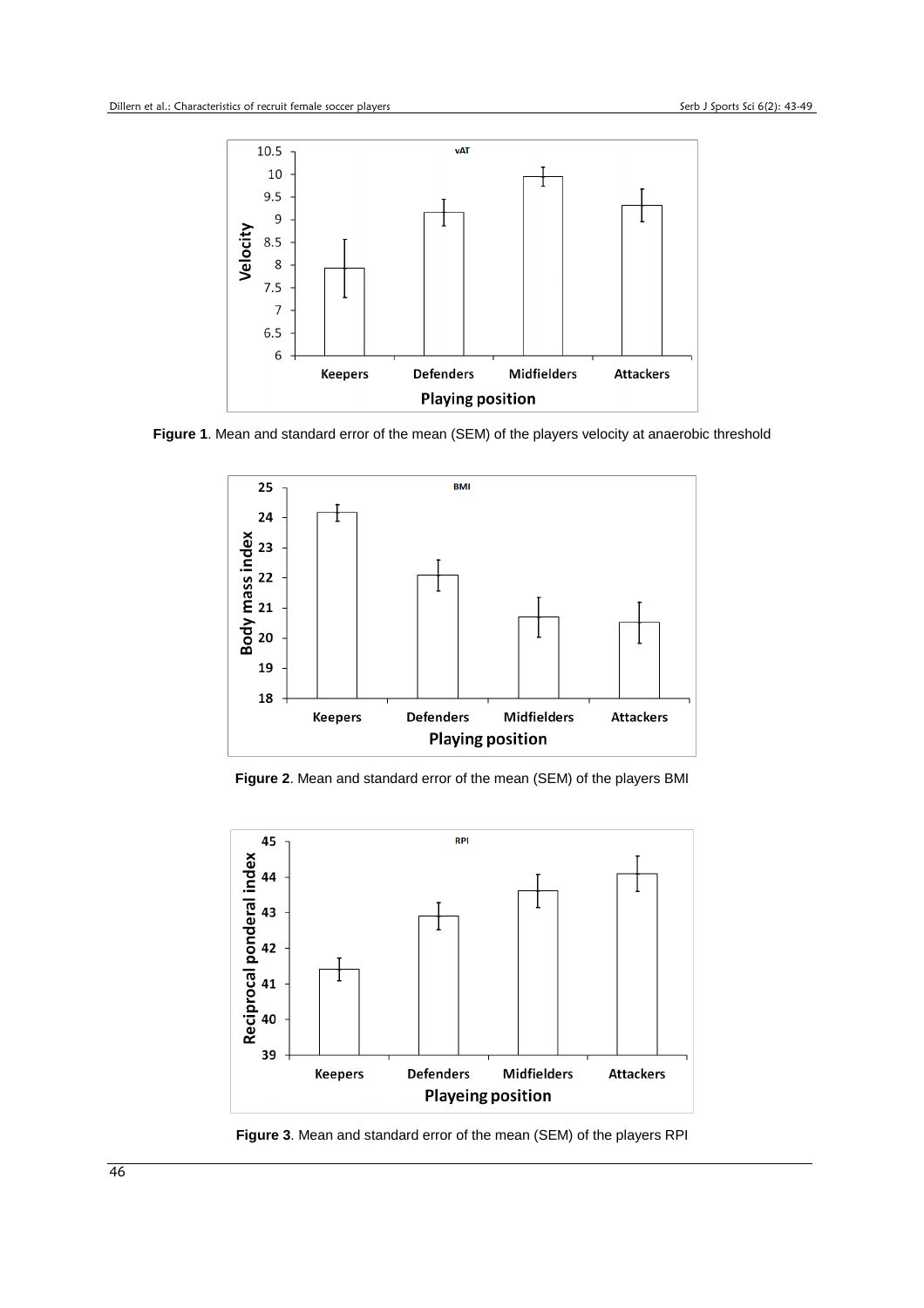

**Figure 1**. Mean and standard error of the mean (SEM) of the players velocity at anaerobic threshold



**Figure 2**. Mean and standard error of the mean (SEM) of the players BMI



**Figure 3**. Mean and standard error of the mean (SEM) of the players RPI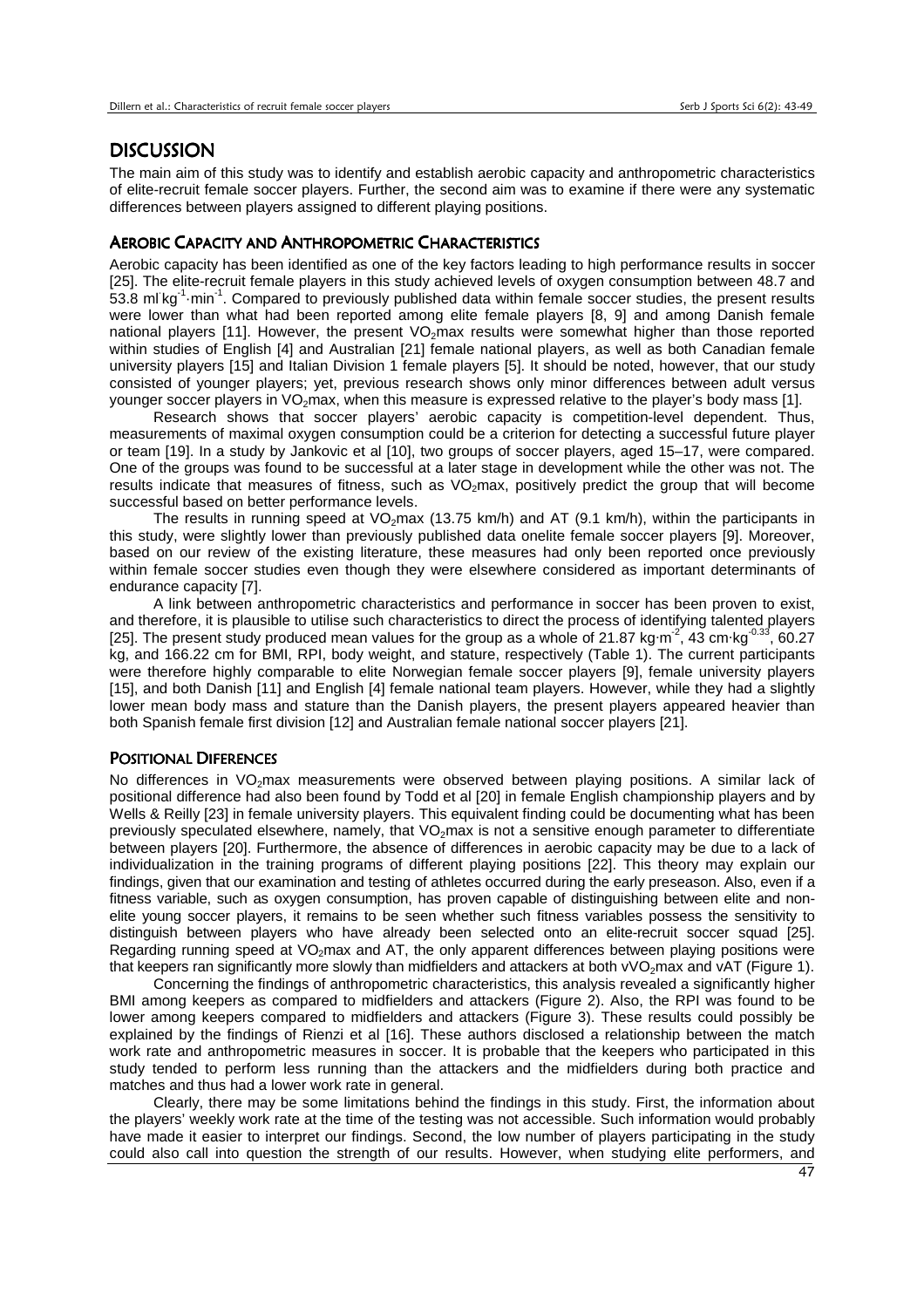## **DISCUSSION**

The main aim of this study was to identify and establish aerobic capacity and anthropometric characteristics of elite-recruit female soccer players. Further, the second aim was to examine if there were any systematic differences between players assigned to different playing positions.

#### AEROBIC CAPACITY AND ANTHROPOMETRIC CHARACTERISTICS

Aerobic capacity has been identified as one of the key factors leading to high performance results in soccer [25]. The elite-recruit female players in this study achieved levels of oxygen consumption between 48.7 and 53.8 ml kg<sup>-1</sup> min<sup>-1</sup>. Compared to previously published data within female soccer studies, the present results were lower than what had been reported among elite female players [8, 9] and among Danish female national players [11]. However, the present VO<sub>2</sub>max results were somewhat higher than those reported within studies of English [4] and Australian [21] female national players, as well as both Canadian female university players [15] and Italian Division 1 female players [5]. It should be noted, however, that our study consisted of younger players; yet, previous research shows only minor differences between adult versus younger soccer players in  $VO<sub>2</sub>$  max, when this measure is expressed relative to the player's body mass [1].

 Research shows that soccer players' aerobic capacity is competition-level dependent. Thus, measurements of maximal oxygen consumption could be a criterion for detecting a successful future player or team [19]. In a study by Jankovic et al [10], two groups of soccer players, aged 15–17, were compared. One of the groups was found to be successful at a later stage in development while the other was not. The results indicate that measures of fitness, such as VO<sub>2</sub>max, positively predict the group that will become successful based on better performance levels.

The results in running speed at  $VO_2$ max (13.75 km/h) and AT (9.1 km/h), within the participants in this study, were slightly lower than previously published data onelite female soccer players [9]. Moreover, based on our review of the existing literature, these measures had only been reported once previously within female soccer studies even though they were elsewhere considered as important determinants of endurance capacity [7].

 A link between anthropometric characteristics and performance in soccer has been proven to exist, and therefore, it is plausible to utilise such characteristics to direct the process of identifying talented players [25]. The present study produced mean values for the group as a whole of 21.87 kg·m<sup>-2</sup>, 43 cm·kg<sup>-0.33</sup>, 60.27 kg, and 166.22 cm for BMI, RPI, body weight, and stature, respectively (Table 1). The current participants were therefore highly comparable to elite Norwegian female soccer players [9], female university players [15], and both Danish [11] and English [4] female national team players. However, while they had a slightly lower mean body mass and stature than the Danish players, the present players appeared heavier than both Spanish female first division [12] and Australian female national soccer players [21].

#### POSITIONAL DIFERENCES

No differences in VO<sub>2</sub>max measurements were observed between playing positions. A similar lack of positional difference had also been found by Todd et al [20] in female English championship players and by Wells & Reilly [23] in female university players. This equivalent finding could be documenting what has been previously speculated elsewhere, namely, that  $VO<sub>2</sub>max$  is not a sensitive enough parameter to differentiate between players [20]. Furthermore, the absence of differences in aerobic capacity may be due to a lack of individualization in the training programs of different playing positions [22]. This theory may explain our findings, given that our examination and testing of athletes occurred during the early preseason. Also, even if a fitness variable, such as oxygen consumption, has proven capable of distinguishing between elite and nonelite young soccer players, it remains to be seen whether such fitness variables possess the sensitivity to distinguish between players who have already been selected onto an elite-recruit soccer squad [25]. Regarding running speed at VO<sub>2</sub>max and AT, the only apparent differences between playing positions were that keepers ran significantly more slowly than midfielders and attackers at both vVO<sub>2</sub>max and vAT (Figure 1).

 Concerning the findings of anthropometric characteristics, this analysis revealed a significantly higher BMI among keepers as compared to midfielders and attackers (Figure 2). Also, the RPI was found to be lower among keepers compared to midfielders and attackers (Figure 3). These results could possibly be explained by the findings of Rienzi et al [16]. These authors disclosed a relationship between the match work rate and anthropometric measures in soccer. It is probable that the keepers who participated in this study tended to perform less running than the attackers and the midfielders during both practice and matches and thus had a lower work rate in general.

 Clearly, there may be some limitations behind the findings in this study. First, the information about the players' weekly work rate at the time of the testing was not accessible. Such information would probably have made it easier to interpret our findings. Second, the low number of players participating in the study could also call into question the strength of our results. However, when studying elite performers, and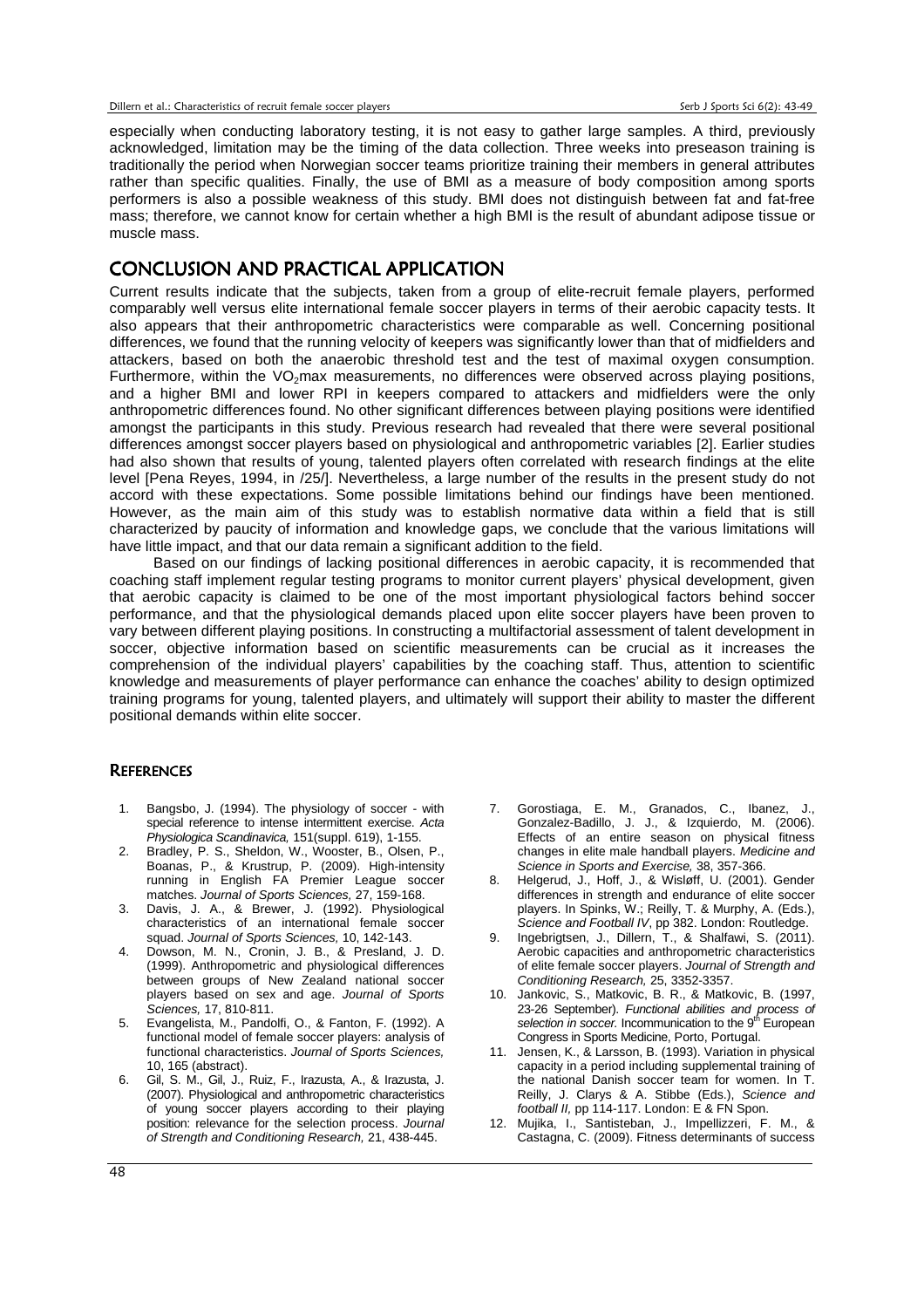especially when conducting laboratory testing, it is not easy to gather large samples. A third, previously acknowledged, limitation may be the timing of the data collection. Three weeks into preseason training is traditionally the period when Norwegian soccer teams prioritize training their members in general attributes rather than specific qualities. Finally, the use of BMI as a measure of body composition among sports performers is also a possible weakness of this study. BMI does not distinguish between fat and fat-free mass; therefore, we cannot know for certain whether a high BMI is the result of abundant adipose tissue or muscle mass.

## CONCLUSION AND PRACTICAL APPLICATION

Current results indicate that the subjects, taken from a group of elite-recruit female players, performed comparably well versus elite international female soccer players in terms of their aerobic capacity tests. It also appears that their anthropometric characteristics were comparable as well. Concerning positional differences, we found that the running velocity of keepers was significantly lower than that of midfielders and attackers, based on both the anaerobic threshold test and the test of maximal oxygen consumption. Furthermore, within the VO<sub>2</sub>max measurements, no differences were observed across playing positions, and a higher BMI and lower RPI in keepers compared to attackers and midfielders were the only anthropometric differences found. No other significant differences between playing positions were identified amongst the participants in this study. Previous research had revealed that there were several positional differences amongst soccer players based on physiological and anthropometric variables [2]. Earlier studies had also shown that results of young, talented players often correlated with research findings at the elite level [Pena Reyes, 1994, in /25/]. Nevertheless, a large number of the results in the present study do not accord with these expectations. Some possible limitations behind our findings have been mentioned. However, as the main aim of this study was to establish normative data within a field that is still characterized by paucity of information and knowledge gaps, we conclude that the various limitations will have little impact, and that our data remain a significant addition to the field.

 Based on our findings of lacking positional differences in aerobic capacity, it is recommended that coaching staff implement regular testing programs to monitor current players' physical development, given that aerobic capacity is claimed to be one of the most important physiological factors behind soccer performance, and that the physiological demands placed upon elite soccer players have been proven to vary between different playing positions. In constructing a multifactorial assessment of talent development in soccer, objective information based on scientific measurements can be crucial as it increases the comprehension of the individual players' capabilities by the coaching staff. Thus, attention to scientific knowledge and measurements of player performance can enhance the coaches' ability to design optimized training programs for young, talented players, and ultimately will support their ability to master the different positional demands within elite soccer.

#### **REFERENCES**

- 1. Bangsbo, J. (1994). The physiology of soccer with special reference to intense intermittent exercise. Acta Physiologica Scandinavica, 151(suppl. 619), 1-155.
- 2. Bradley, P. S., Sheldon, W., Wooster, B., Olsen, P., Boanas, P., & Krustrup, P. (2009). High-intensity running in English FA Premier League soccer matches. Journal of Sports Sciences, 27, 159-168.
- 3. Davis, J. A., & Brewer, J. (1992). Physiological characteristics of an international female soccer squad. Journal of Sports Sciences, 10, 142-143.
- 4. Dowson, M. N., Cronin, J. B., & Presland, J. D. (1999). Anthropometric and physiological differences between groups of New Zealand national soccer players based on sex and age. Journal of Sports Sciences, 17, 810-811.
- 5. Evangelista, M., Pandolfi, O., & Fanton, F. (1992). A functional model of female soccer players: analysis of functional characteristics. Journal of Sports Sciences, 10, 165 (abstract).
- 6. Gil, S. M., Gil, J., Ruiz, F., Irazusta, A., & Irazusta, J. (2007). Physiological and anthropometric characteristics of young soccer players according to their playing position: relevance for the selection process. Journal of Strength and Conditioning Research, 21, 438-445.
- 7. Gorostiaga, E. M., Granados, C., Ibanez, J., Gonzalez-Badillo, J. J., & Izquierdo, M. (2006). Effects of an entire season on physical fitness changes in elite male handball players. Medicine and Science in Sports and Exercise, 38, 357-366.
- 8. Helgerud, J., Hoff, J., & Wisløff, U. (2001). Gender differences in strength and endurance of elite soccer players. In Spinks, W.; Reilly, T. & Murphy, A. (Eds.), Science and Football IV, pp 382. London: Routledge.
- 9. Ingebrigtsen, J., Dillern, T., & Shalfawi, S. (2011). Aerobic capacities and anthropometric characteristics of elite female soccer players. Journal of Strength and Conditioning Research, 25, 3352-3357.
- 10. Jankovic, S., Matkovic, B. R., & Matkovic, B. (1997, 23-26 September). *Functional abilities and process of selection in soccer.* Incommunication to the 9<sup>th</sup> European Congress in Sports Medicine, Porto, Portugal.
- 11. Jensen, K., & Larsson, B. (1993). Variation in physical capacity in a period including supplemental training of the national Danish soccer team for women. In T. Reilly, J. Clarys & A. Stibbe (Eds.), Science and football II, pp 114-117. London: E & FN Spon.
- 12. Mujika, I., Santisteban, J., Impellizzeri, F. M., & Castagna, C. (2009). Fitness determinants of success